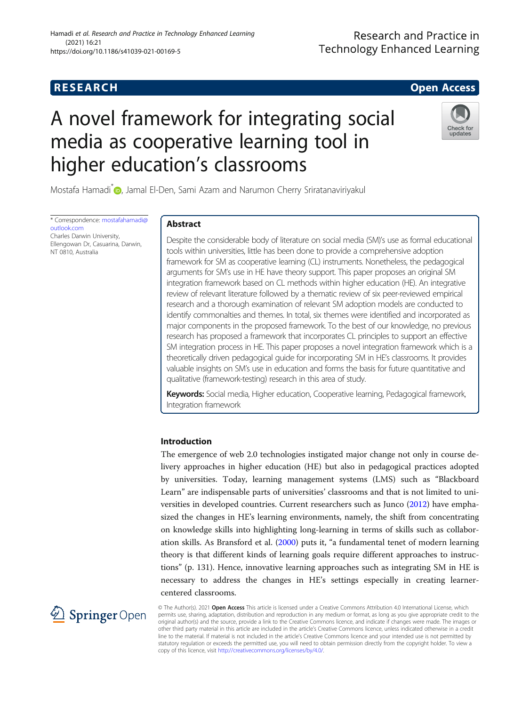# **RESEARCH CHE CHE Open Access**

# Research and Practice in **Technology Enhanced Learning**

# A novel framework for integrating social media as cooperative learning tool in higher education's classrooms



Mostafa Hamadi<sup>\*</sup> [,](http://orcid.org/0000-0001-5330-0478) Jamal El-Den, Sami Azam and Narumon Cherry Sriratanaviriyakul

\* Correspondence: [mostafahamadi@](mailto:mostafahamadi@outlook.com) [outlook.com](mailto:mostafahamadi@outlook.com) Charles Darwin University,

Ellengowan Dr, Casuarina, Darwin, NT 0810, Australia

#### Abstract

Despite the considerable body of literature on social media (SM)'s use as formal educational tools within universities, little has been done to provide a comprehensive adoption framework for SM as cooperative learning (CL) instruments. Nonetheless, the pedagogical arguments for SM's use in HE have theory support. This paper proposes an original SM integration framework based on CL methods within higher education (HE). An integrative review of relevant literature followed by a thematic review of six peer-reviewed empirical research and a thorough examination of relevant SM adoption models are conducted to identify commonalties and themes. In total, six themes were identified and incorporated as major components in the proposed framework. To the best of our knowledge, no previous research has proposed a framework that incorporates CL principles to support an effective SM integration process in HE. This paper proposes a novel integration framework which is a theoretically driven pedagogical guide for incorporating SM in HE's classrooms. It provides valuable insights on SM's use in education and forms the basis for future quantitative and qualitative (framework-testing) research in this area of study.

Keywords: Social media, Higher education, Cooperative learning, Pedagogical framework, Integration framework

### Introduction

The emergence of web 2.0 technologies instigated major change not only in course delivery approaches in higher education (HE) but also in pedagogical practices adopted by universities. Today, learning management systems (LMS) such as "Blackboard Learn" are indispensable parts of universities' classrooms and that is not limited to universities in developed countries. Current researchers such as Junco [\(2012\)](#page-20-0) have emphasized the changes in HE's learning environments, namely, the shift from concentrating on knowledge skills into highlighting long-learning in terms of skills such as collaboration skills. As Bransford et al. ([2000](#page-19-0)) puts it, "a fundamental tenet of modern learning theory is that different kinds of learning goals require different approaches to instructions" (p. 131). Hence, innovative learning approaches such as integrating SM in HE is necessary to address the changes in HE's settings especially in creating learnercentered classrooms.



© The Author(s). 2021 Open Access This article is licensed under a Creative Commons Attribution 4.0 International License, which permits use, sharing, adaptation, distribution and reproduction in any medium or format, as long as you give appropriate credit to the original author(s) and the source, provide a link to the Creative Commons licence, and indicate if changes were made. The images or other third party material in this article are included in the article's Creative Commons licence, unless indicated otherwise in a credit line to the material. If material is not included in the article's Creative Commons licence and your intended use is not permitted by statutory regulation or exceeds the permitted use, you will need to obtain permission directly from the copyright holder. To view a copy of this licence, visit <http://creativecommons.org/licenses/by/4.0/>.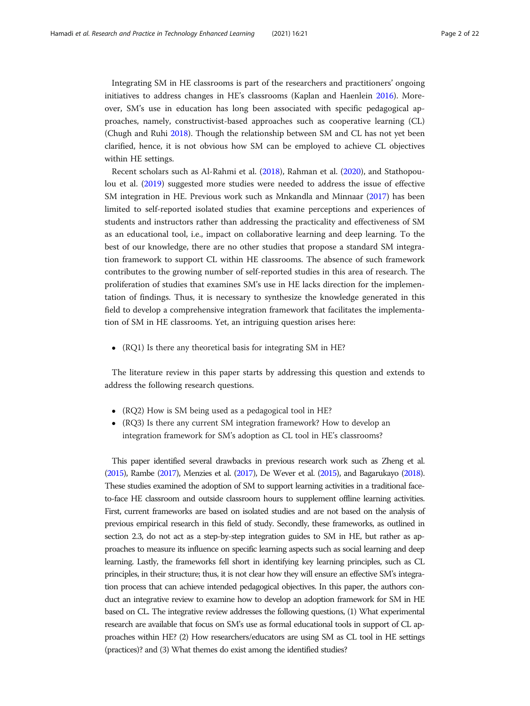Integrating SM in HE classrooms is part of the researchers and practitioners' ongoing initiatives to address changes in HE's classrooms (Kaplan and Haenlein [2016](#page-20-0)). Moreover, SM's use in education has long been associated with specific pedagogical approaches, namely, constructivist-based approaches such as cooperative learning (CL) (Chugh and Ruhi [2018](#page-19-0)). Though the relationship between SM and CL has not yet been clarified, hence, it is not obvious how SM can be employed to achieve CL objectives within HE settings.

Recent scholars such as Al-Rahmi et al. ([2018](#page-19-0)), Rahman et al. ([2020\)](#page-20-0), and Stathopoulou et al. [\(2019\)](#page-21-0) suggested more studies were needed to address the issue of effective SM integration in HE. Previous work such as Mnkandla and Minnaar ([2017\)](#page-20-0) has been limited to self-reported isolated studies that examine perceptions and experiences of students and instructors rather than addressing the practicality and effectiveness of SM as an educational tool, i.e., impact on collaborative learning and deep learning. To the best of our knowledge, there are no other studies that propose a standard SM integration framework to support CL within HE classrooms. The absence of such framework contributes to the growing number of self-reported studies in this area of research. The proliferation of studies that examines SM's use in HE lacks direction for the implementation of findings. Thus, it is necessary to synthesize the knowledge generated in this field to develop a comprehensive integration framework that facilitates the implementation of SM in HE classrooms. Yet, an intriguing question arises here:

(RQ1) Is there any theoretical basis for integrating SM in HE?

The literature review in this paper starts by addressing this question and extends to address the following research questions.

- (RQ2) How is SM being used as a pedagogical tool in HE?
- (RQ3) Is there any current SM integration framework? How to develop an integration framework for SM's adoption as CL tool in HE's classrooms?

This paper identified several drawbacks in previous research work such as Zheng et al. ([2015\)](#page-21-0), Rambe [\(2017](#page-20-0)), Menzies et al. [\(2017](#page-20-0)), De Wever et al. [\(2015](#page-19-0)), and Bagarukayo [\(2018\)](#page-19-0). These studies examined the adoption of SM to support learning activities in a traditional faceto-face HE classroom and outside classroom hours to supplement offline learning activities. First, current frameworks are based on isolated studies and are not based on the analysis of previous empirical research in this field of study. Secondly, these frameworks, as outlined in section 2.3, do not act as a step-by-step integration guides to SM in HE, but rather as approaches to measure its influence on specific learning aspects such as social learning and deep learning. Lastly, the frameworks fell short in identifying key learning principles, such as CL principles, in their structure; thus, it is not clear how they will ensure an effective SM's integration process that can achieve intended pedagogical objectives. In this paper, the authors conduct an integrative review to examine how to develop an adoption framework for SM in HE based on CL. The integrative review addresses the following questions, (1) What experimental research are available that focus on SM's use as formal educational tools in support of CL approaches within HE? (2) How researchers/educators are using SM as CL tool in HE settings (practices)? and (3) What themes do exist among the identified studies?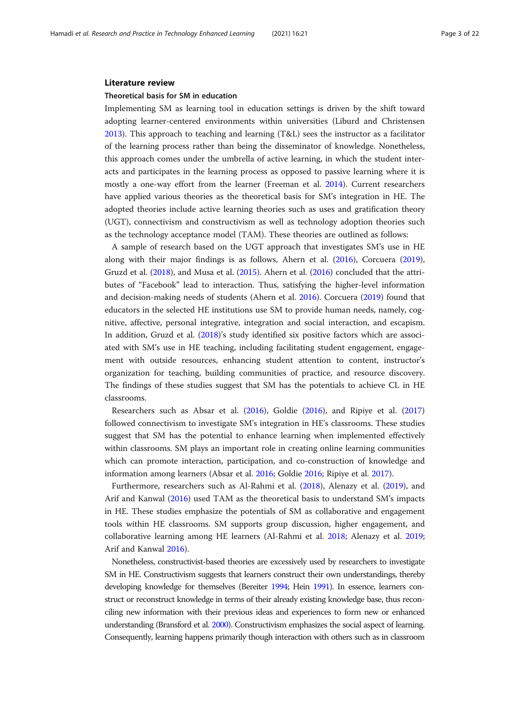#### Literature review

#### Theoretical basis for SM in education

Implementing SM as learning tool in education settings is driven by the shift toward adopting learner-centered environments within universities (Liburd and Christensen [2013](#page-20-0)). This approach to teaching and learning (T&L) sees the instructor as a facilitator of the learning process rather than being the disseminator of knowledge. Nonetheless, this approach comes under the umbrella of active learning, in which the student interacts and participates in the learning process as opposed to passive learning where it is mostly a one-way effort from the learner (Freeman et al. [2014](#page-20-0)). Current researchers have applied various theories as the theoretical basis for SM's integration in HE. The adopted theories include active learning theories such as uses and gratification theory (UGT), connectivism and constructivism as well as technology adoption theories such as the technology acceptance model (TAM). These theories are outlined as follows:

A sample of research based on the UGT approach that investigates SM's use in HE along with their major findings is as follows, Ahern et al. [\(2016\)](#page-19-0), Corcuera ([2019](#page-19-0)), Gruzd et al. [\(2018\)](#page-20-0), and Musa et al. [\(2015\)](#page-20-0). Ahern et al. [\(2016](#page-19-0)) concluded that the attributes of "Facebook" lead to interaction. Thus, satisfying the higher-level information and decision-making needs of students (Ahern et al. [2016\)](#page-19-0). Corcuera [\(2019](#page-19-0)) found that educators in the selected HE institutions use SM to provide human needs, namely, cognitive, affective, personal integrative, integration and social interaction, and escapism. In addition, Gruzd et al. ([2018](#page-20-0))'s study identified six positive factors which are associated with SM's use in HE teaching, including facilitating student engagement, engagement with outside resources, enhancing student attention to content, instructor's organization for teaching, building communities of practice, and resource discovery. The findings of these studies suggest that SM has the potentials to achieve CL in HE classrooms.

Researchers such as Absar et al. ([2016\)](#page-19-0), Goldie ([2016\)](#page-20-0), and Ripiye et al. ([2017](#page-20-0)) followed connectivism to investigate SM's integration in HE's classrooms. These studies suggest that SM has the potential to enhance learning when implemented effectively within classrooms. SM plays an important role in creating online learning communities which can promote interaction, participation, and co-construction of knowledge and information among learners (Absar et al. [2016](#page-19-0); Goldie [2016](#page-20-0); Ripiye et al. [2017](#page-20-0)).

Furthermore, researchers such as Al-Rahmi et al. [\(2018\)](#page-19-0), Alenazy et al. ([2019](#page-19-0)), and Arif and Kanwal ([2016](#page-19-0)) used TAM as the theoretical basis to understand SM's impacts in HE. These studies emphasize the potentials of SM as collaborative and engagement tools within HE classrooms. SM supports group discussion, higher engagement, and collaborative learning among HE learners (Al-Rahmi et al. [2018](#page-19-0); Alenazy et al. [2019](#page-19-0); Arif and Kanwal [2016](#page-19-0)).

Nonetheless, constructivist-based theories are excessively used by researchers to investigate SM in HE. Constructivism suggests that learners construct their own understandings, thereby developing knowledge for themselves (Bereiter [1994](#page-19-0); Hein [1991\)](#page-20-0). In essence, learners construct or reconstruct knowledge in terms of their already existing knowledge base, thus reconciling new information with their previous ideas and experiences to form new or enhanced understanding (Bransford et al. [2000\)](#page-19-0). Constructivism emphasizes the social aspect of learning. Consequently, learning happens primarily though interaction with others such as in classroom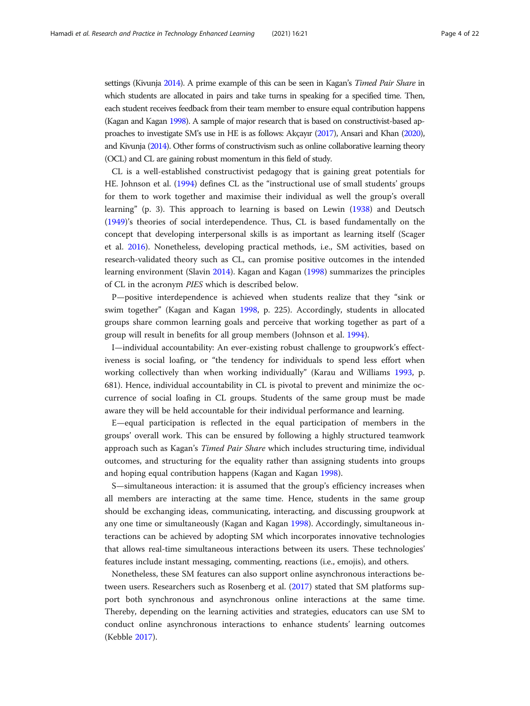settings (Kivunja [2014\)](#page-20-0). A prime example of this can be seen in Kagan's *Timed Pair Share* in which students are allocated in pairs and take turns in speaking for a specified time. Then, each student receives feedback from their team member to ensure equal contribution happens (Kagan and Kagan [1998\)](#page-20-0). A sample of major research that is based on constructivist-based approaches to investigate SM's use in HE is as follows: Akçayır ([2017](#page-19-0)), Ansari and Khan [\(2020\)](#page-19-0), and Kivunja [\(2014](#page-20-0)). Other forms of constructivism such as online collaborative learning theory (OCL) and CL are gaining robust momentum in this field of study.

CL is a well-established constructivist pedagogy that is gaining great potentials for HE. Johnson et al. ([1994](#page-20-0)) defines CL as the "instructional use of small students' groups for them to work together and maximise their individual as well the group's overall learning" (p. 3). This approach to learning is based on Lewin [\(1938\)](#page-20-0) and Deutsch ([1949](#page-20-0))'s theories of social interdependence. Thus, CL is based fundamentally on the concept that developing interpersonal skills is as important as learning itself (Scager et al. [2016](#page-21-0)). Nonetheless, developing practical methods, i.e., SM activities, based on research-validated theory such as CL, can promise positive outcomes in the intended learning environment (Slavin [2014\)](#page-21-0). Kagan and Kagan ([1998\)](#page-20-0) summarizes the principles of CL in the acronym PIES which is described below.

P—positive interdependence is achieved when students realize that they "sink or swim together" (Kagan and Kagan [1998](#page-20-0), p. 225). Accordingly, students in allocated groups share common learning goals and perceive that working together as part of a group will result in benefits for all group members (Johnson et al. [1994\)](#page-20-0).

I—individual accountability: An ever-existing robust challenge to groupwork's effectiveness is social loafing, or "the tendency for individuals to spend less effort when working collectively than when working individually" (Karau and Williams [1993](#page-20-0), p. 681). Hence, individual accountability in CL is pivotal to prevent and minimize the occurrence of social loafing in CL groups. Students of the same group must be made aware they will be held accountable for their individual performance and learning.

E—equal participation is reflected in the equal participation of members in the groups' overall work. This can be ensured by following a highly structured teamwork approach such as Kagan's Timed Pair Share which includes structuring time, individual outcomes, and structuring for the equality rather than assigning students into groups and hoping equal contribution happens (Kagan and Kagan [1998\)](#page-20-0).

S—simultaneous interaction: it is assumed that the group's efficiency increases when all members are interacting at the same time. Hence, students in the same group should be exchanging ideas, communicating, interacting, and discussing groupwork at any one time or simultaneously (Kagan and Kagan [1998\)](#page-20-0). Accordingly, simultaneous interactions can be achieved by adopting SM which incorporates innovative technologies that allows real-time simultaneous interactions between its users. These technologies' features include instant messaging, commenting, reactions (i.e., emojis), and others.

Nonetheless, these SM features can also support online asynchronous interactions between users. Researchers such as Rosenberg et al. ([2017\)](#page-21-0) stated that SM platforms support both synchronous and asynchronous online interactions at the same time. Thereby, depending on the learning activities and strategies, educators can use SM to conduct online asynchronous interactions to enhance students' learning outcomes (Kebble [2017](#page-20-0)).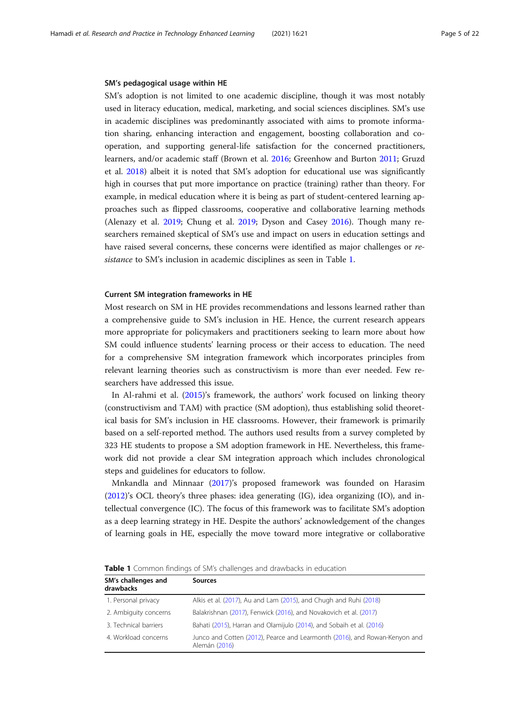#### <span id="page-4-0"></span>SM's pedagogical usage within HE

SM's adoption is not limited to one academic discipline, though it was most notably used in literacy education, medical, marketing, and social sciences disciplines. SM's use in academic disciplines was predominantly associated with aims to promote information sharing, enhancing interaction and engagement, boosting collaboration and cooperation, and supporting general-life satisfaction for the concerned practitioners, learners, and/or academic staff (Brown et al. [2016;](#page-19-0) Greenhow and Burton [2011](#page-20-0); Gruzd et al. [2018\)](#page-20-0) albeit it is noted that SM's adoption for educational use was significantly high in courses that put more importance on practice (training) rather than theory. For example, in medical education where it is being as part of student-centered learning approaches such as flipped classrooms, cooperative and collaborative learning methods (Alenazy et al. [2019](#page-19-0); Chung et al. [2019](#page-19-0); Dyson and Casey [2016](#page-20-0)). Though many researchers remained skeptical of SM's use and impact on users in education settings and have raised several concerns, these concerns were identified as major challenges or resistance to SM's inclusion in academic disciplines as seen in Table 1.

#### Current SM integration frameworks in HE

Most research on SM in HE provides recommendations and lessons learned rather than a comprehensive guide to SM's inclusion in HE. Hence, the current research appears more appropriate for policymakers and practitioners seeking to learn more about how SM could influence students' learning process or their access to education. The need for a comprehensive SM integration framework which incorporates principles from relevant learning theories such as constructivism is more than ever needed. Few researchers have addressed this issue.

In Al-rahmi et al. ([2015\)](#page-19-0)'s framework, the authors' work focused on linking theory (constructivism and TAM) with practice (SM adoption), thus establishing solid theoretical basis for SM's inclusion in HE classrooms. However, their framework is primarily based on a self-reported method. The authors used results from a survey completed by 323 HE students to propose a SM adoption framework in HE. Nevertheless, this framework did not provide a clear SM integration approach which includes chronological steps and guidelines for educators to follow.

Mnkandla and Minnaar [\(2017\)](#page-20-0)'s proposed framework was founded on Harasim ([2012](#page-20-0))'s OCL theory's three phases: idea generating (IG), idea organizing (IO), and intellectual convergence (IC). The focus of this framework was to facilitate SM's adoption as a deep learning strategy in HE. Despite the authors' acknowledgement of the changes of learning goals in HE, especially the move toward more integrative or collaborative

| SM's challenges and<br>drawbacks | <b>Sources</b>                                                                              |
|----------------------------------|---------------------------------------------------------------------------------------------|
| 1. Personal privacy              | Alkis et al. (2017), Au and Lam (2015), and Chugh and Ruhi (2018)                           |
| 2. Ambiguity concerns            | Balakrishnan (2017), Fenwick (2016), and Novakovich et al. (2017)                           |
| 3. Technical barriers            | Bahati (2015), Harran and Olamijulo (2014), and Sobaih et al. (2016)                        |
| 4. Workload concerns             | Junco and Cotten (2012), Pearce and Learmonth (2016), and Rowan-Kenyon and<br>Alemán (2016) |

Table 1 Common findings of SM's challenges and drawbacks in education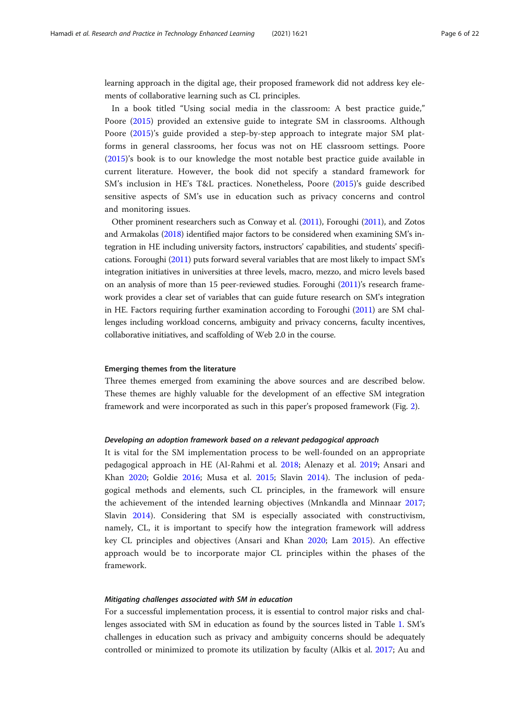learning approach in the digital age, their proposed framework did not address key elements of collaborative learning such as CL principles.

In a book titled "Using social media in the classroom: A best practice guide," Poore [\(2015](#page-20-0)) provided an extensive guide to integrate SM in classrooms. Although Poore [\(2015](#page-20-0))'s guide provided a step-by-step approach to integrate major SM platforms in general classrooms, her focus was not on HE classroom settings. Poore ([2015\)](#page-20-0)'s book is to our knowledge the most notable best practice guide available in current literature. However, the book did not specify a standard framework for SM's inclusion in HE's T&L practices. Nonetheless, Poore ([2015\)](#page-20-0)'s guide described sensitive aspects of SM's use in education such as privacy concerns and control and monitoring issues.

Other prominent researchers such as Conway et al. [\(2011\)](#page-19-0), Foroughi [\(2011\)](#page-20-0), and Zotos and Armakolas [\(2018\)](#page-21-0) identified major factors to be considered when examining SM's integration in HE including university factors, instructors' capabilities, and students' specifications. Foroughi [\(2011\)](#page-20-0) puts forward several variables that are most likely to impact SM's integration initiatives in universities at three levels, macro, mezzo, and micro levels based on an analysis of more than 15 peer-reviewed studies. Foroughi [\(2011](#page-20-0))'s research framework provides a clear set of variables that can guide future research on SM's integration in HE. Factors requiring further examination according to Foroughi [\(2011\)](#page-20-0) are SM challenges including workload concerns, ambiguity and privacy concerns, faculty incentives, collaborative initiatives, and scaffolding of Web 2.0 in the course.

#### Emerging themes from the literature

Three themes emerged from examining the above sources and are described below. These themes are highly valuable for the development of an effective SM integration framework and were incorporated as such in this paper's proposed framework (Fig. [2\)](#page-12-0).

#### Developing an adoption framework based on a relevant pedagogical approach

It is vital for the SM implementation process to be well-founded on an appropriate pedagogical approach in HE (Al-Rahmi et al. [2018;](#page-19-0) Alenazy et al. [2019;](#page-19-0) Ansari and Khan [2020;](#page-19-0) Goldie [2016](#page-20-0); Musa et al. [2015](#page-20-0); Slavin [2014\)](#page-21-0). The inclusion of pedagogical methods and elements, such CL principles, in the framework will ensure the achievement of the intended learning objectives (Mnkandla and Minnaar [2017](#page-20-0); Slavin [2014](#page-21-0)). Considering that SM is especially associated with constructivism, namely, CL, it is important to specify how the integration framework will address key CL principles and objectives (Ansari and Khan [2020](#page-19-0); Lam [2015\)](#page-20-0). An effective approach would be to incorporate major CL principles within the phases of the framework.

#### Mitigating challenges associated with SM in education

For a successful implementation process, it is essential to control major risks and challenges associated with SM in education as found by the sources listed in Table [1](#page-4-0). SM's challenges in education such as privacy and ambiguity concerns should be adequately controlled or minimized to promote its utilization by faculty (Alkis et al. [2017;](#page-19-0) Au and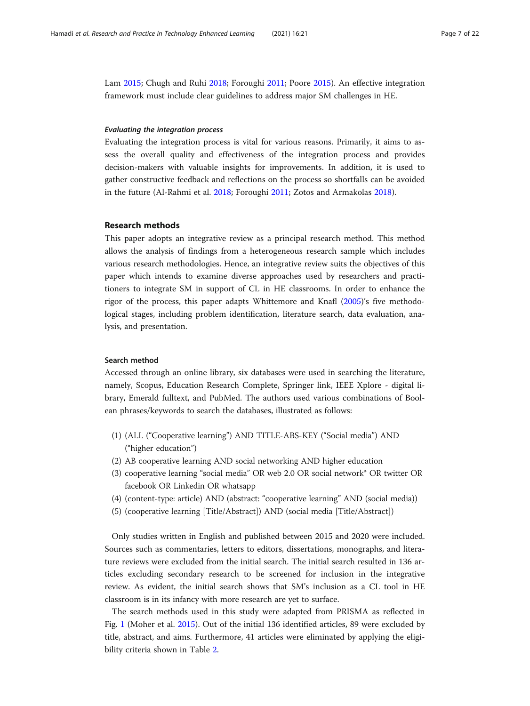Lam [2015;](#page-19-0) Chugh and Ruhi [2018;](#page-19-0) Foroughi [2011](#page-20-0); Poore [2015](#page-20-0)). An effective integration framework must include clear guidelines to address major SM challenges in HE.

#### Evaluating the integration process

Evaluating the integration process is vital for various reasons. Primarily, it aims to assess the overall quality and effectiveness of the integration process and provides decision-makers with valuable insights for improvements. In addition, it is used to gather constructive feedback and reflections on the process so shortfalls can be avoided in the future (Al-Rahmi et al. [2018;](#page-19-0) Foroughi [2011;](#page-20-0) Zotos and Armakolas [2018](#page-21-0)).

#### Research methods

This paper adopts an integrative review as a principal research method. This method allows the analysis of findings from a heterogeneous research sample which includes various research methodologies. Hence, an integrative review suits the objectives of this paper which intends to examine diverse approaches used by researchers and practitioners to integrate SM in support of CL in HE classrooms. In order to enhance the rigor of the process, this paper adapts Whittemore and Knafl [\(2005\)](#page-21-0)'s five methodological stages, including problem identification, literature search, data evaluation, analysis, and presentation.

#### Search method

Accessed through an online library, six databases were used in searching the literature, namely, Scopus, Education Research Complete, Springer link, IEEE Xplore - digital library, Emerald fulltext, and PubMed. The authors used various combinations of Boolean phrases/keywords to search the databases, illustrated as follows:

- (1) (ALL ("Cooperative learning") AND TITLE-ABS-KEY ("Social media") AND ("higher education")
- (2) AB cooperative learning AND social networking AND higher education
- (3) cooperative learning "social media" OR web 2.0 OR social network\* OR twitter OR facebook OR Linkedin OR whatsapp
- (4) (content-type: article) AND (abstract: "cooperative learning" AND (social media))
- (5) (cooperative learning [Title/Abstract]) AND (social media [Title/Abstract])

Only studies written in English and published between 2015 and 2020 were included. Sources such as commentaries, letters to editors, dissertations, monographs, and literature reviews were excluded from the initial search. The initial search resulted in 136 articles excluding secondary research to be screened for inclusion in the integrative review. As evident, the initial search shows that SM's inclusion as a CL tool in HE classroom is in its infancy with more research are yet to surface.

The search methods used in this study were adapted from PRISMA as reflected in Fig. [1](#page-7-0) (Moher et al. [2015](#page-20-0)). Out of the initial 136 identified articles, 89 were excluded by title, abstract, and aims. Furthermore, 41 articles were eliminated by applying the eligibility criteria shown in Table [2.](#page-8-0)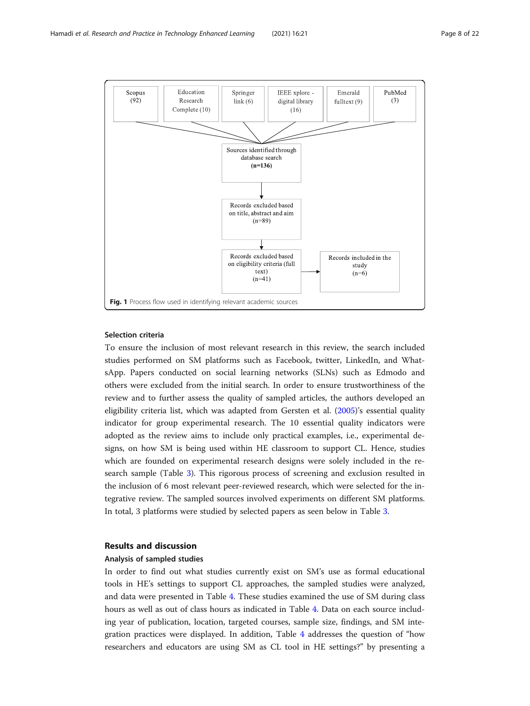<span id="page-7-0"></span>

#### Selection criteria

To ensure the inclusion of most relevant research in this review, the search included studies performed on SM platforms such as Facebook, twitter, LinkedIn, and WhatsApp. Papers conducted on social learning networks (SLNs) such as Edmodo and others were excluded from the initial search. In order to ensure trustworthiness of the review and to further assess the quality of sampled articles, the authors developed an eligibility criteria list, which was adapted from Gersten et al. [\(2005](#page-20-0))'s essential quality indicator for group experimental research. The 10 essential quality indicators were adopted as the review aims to include only practical examples, i.e., experimental designs, on how SM is being used within HE classroom to support CL. Hence, studies which are founded on experimental research designs were solely included in the research sample (Table [3\)](#page-8-0). This rigorous process of screening and exclusion resulted in the inclusion of 6 most relevant peer-reviewed research, which were selected for the integrative review. The sampled sources involved experiments on different SM platforms. In total, 3 platforms were studied by selected papers as seen below in Table [3.](#page-8-0)

#### Results and discussion

#### Analysis of sampled studies

In order to find out what studies currently exist on SM's use as formal educational tools in HE's settings to support CL approaches, the sampled studies were analyzed, and data were presented in Table [4](#page-9-0). These studies examined the use of SM during class hours as well as out of class hours as indicated in Table [4](#page-9-0). Data on each source including year of publication, location, targeted courses, sample size, findings, and SM integration practices were displayed. In addition, Table [4](#page-9-0) addresses the question of "how researchers and educators are using SM as CL tool in HE settings?" by presenting a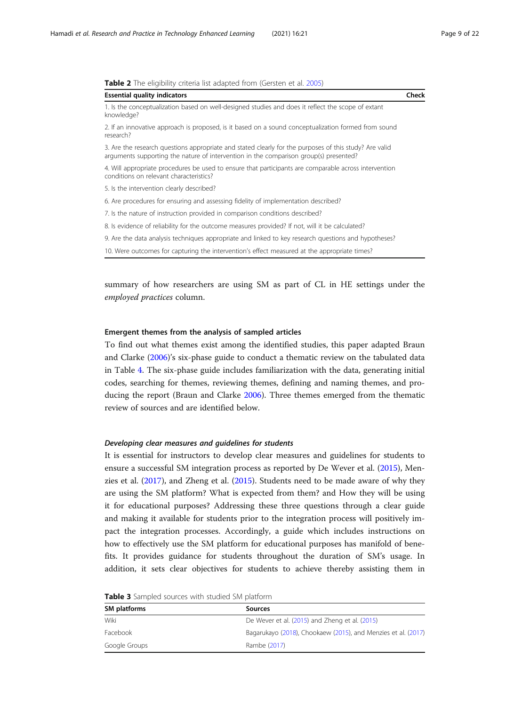<span id="page-8-0"></span>

|  |  |  |  |  |  |  |  |  | <b>Table 2</b> The eligibility criteria list adapted from (Gersten et al. 2005) |  |
|--|--|--|--|--|--|--|--|--|---------------------------------------------------------------------------------|--|
|--|--|--|--|--|--|--|--|--|---------------------------------------------------------------------------------|--|

| <b>Essential quality indicators</b>                                                                                                                                                             | Check |
|-------------------------------------------------------------------------------------------------------------------------------------------------------------------------------------------------|-------|
| 1. Is the conceptualization based on well-designed studies and does it reflect the scope of extant<br>knowledge?                                                                                |       |
| 2. If an innovative approach is proposed, is it based on a sound conceptualization formed from sound<br>research?                                                                               |       |
| 3. Are the research questions appropriate and stated clearly for the purposes of this study? Are valid<br>arguments supporting the nature of intervention in the comparison group(s) presented? |       |
| 4. Will appropriate procedures be used to ensure that participants are comparable across intervention<br>conditions on relevant characteristics?                                                |       |
| 5. Is the intervention clearly described?                                                                                                                                                       |       |
| 6. Are procedures for ensuring and assessing fidelity of implementation described?                                                                                                              |       |
| 7. Is the nature of instruction provided in comparison conditions described?                                                                                                                    |       |
| 8. Is evidence of reliability for the outcome measures provided? If not, will it be calculated?                                                                                                 |       |
| 9. Are the data analysis techniques appropriate and linked to key research questions and hypotheses?                                                                                            |       |
| 10. Were outcomes for capturing the intervention's effect measured at the appropriate times?                                                                                                    |       |

summary of how researchers are using SM as part of CL in HE settings under the employed practices column.

#### Emergent themes from the analysis of sampled articles

To find out what themes exist among the identified studies, this paper adapted Braun and Clarke ([2006](#page-19-0))'s six-phase guide to conduct a thematic review on the tabulated data in Table [4.](#page-9-0) The six-phase guide includes familiarization with the data, generating initial codes, searching for themes, reviewing themes, defining and naming themes, and producing the report (Braun and Clarke [2006\)](#page-19-0). Three themes emerged from the thematic review of sources and are identified below.

#### Developing clear measures and guidelines for students

It is essential for instructors to develop clear measures and guidelines for students to ensure a successful SM integration process as reported by De Wever et al. [\(2015\)](#page-19-0), Menzies et al. [\(2017\)](#page-20-0), and Zheng et al. ([2015](#page-21-0)). Students need to be made aware of why they are using the SM platform? What is expected from them? and How they will be using it for educational purposes? Addressing these three questions through a clear guide and making it available for students prior to the integration process will positively impact the integration processes. Accordingly, a guide which includes instructions on how to effectively use the SM platform for educational purposes has manifold of benefits. It provides guidance for students throughout the duration of SM's usage. In addition, it sets clear objectives for students to achieve thereby assisting them in

| <b>SM platforms</b> | Sources                                                       |
|---------------------|---------------------------------------------------------------|
| Wiki                | De Wever et al. (2015) and Zheng et al. (2015)                |
| Facebook            | Bagarukayo (2018), Chookaew (2015), and Menzies et al. (2017) |
| Google Groups       | Rambe (2017)                                                  |

Table 3 Sampled sources with studied SM platform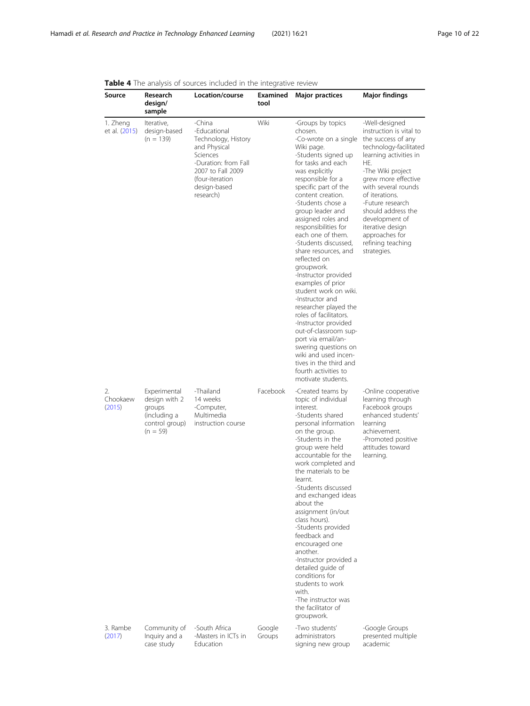| Source                    | Research<br>design/<br>sample                                                           | Location/course                                                                                                                                                        | Examined<br>tool | <b>Major practices</b>                                                                                                                                                                                                                                                                                                                                                                                                                                                                                                                                                                                                                                                                                                                    | <b>Major findings</b>                                                                                                                                                                                                                                                                                                                                 |
|---------------------------|-----------------------------------------------------------------------------------------|------------------------------------------------------------------------------------------------------------------------------------------------------------------------|------------------|-------------------------------------------------------------------------------------------------------------------------------------------------------------------------------------------------------------------------------------------------------------------------------------------------------------------------------------------------------------------------------------------------------------------------------------------------------------------------------------------------------------------------------------------------------------------------------------------------------------------------------------------------------------------------------------------------------------------------------------------|-------------------------------------------------------------------------------------------------------------------------------------------------------------------------------------------------------------------------------------------------------------------------------------------------------------------------------------------------------|
| 1. Zheng<br>et al. (2015) | Iterative,<br>design-based<br>$(n = 139)$                                               | -China<br>-Educational<br>Technology, History<br>and Physical<br>Sciences<br>-Duration: from Fall<br>2007 to Fall 2009<br>(four-iteration<br>design-based<br>research) | Wiki             | -Groups by topics<br>chosen.<br>-Co-wrote on a single<br>Wiki page.<br>-Students signed up<br>for tasks and each<br>was explicitly<br>responsible for a<br>specific part of the<br>content creation.<br>-Students chose a<br>group leader and<br>assigned roles and<br>responsibilities for<br>each one of them.<br>-Students discussed,<br>share resources, and<br>reflected on<br>groupwork.<br>-Instructor provided<br>examples of prior<br>student work on wiki.<br>-Instructor and<br>researcher played the<br>roles of facilitators.<br>-Instructor provided<br>out-of-classroom sup-<br>port via email/an-<br>swering questions on<br>wiki and used incen-<br>tives in the third and<br>fourth activities to<br>motivate students. | -Well-designed<br>instruction is vital to<br>the success of any<br>technology-facilitated<br>learning activities in<br>HE.<br>-The Wiki project<br>grew more effective<br>with several rounds<br>of iterations.<br>-Future research<br>should address the<br>development of<br>iterative design<br>approaches for<br>refining teaching<br>strategies. |
| 2.<br>Chookaew<br>(2015)  | Experimental<br>design with 2<br>groups<br>(including a<br>control group)<br>$(n = 59)$ | -Thailand<br>14 weeks<br>-Computer,<br>Multimedia<br>instruction course                                                                                                | Facebook         | -Created teams by<br>topic of individual<br>interest.<br>-Students shared<br>personal information<br>on the group.<br>-Students in the<br>group were held<br>accountable for the<br>work completed and<br>the materials to be<br>learnt.<br>-Students discussed<br>and exchanged ideas<br>about the<br>assignment (in/out<br>class hours).<br>-Students provided<br>feedback and<br>encouraged one<br>another.<br>-Instructor provided a<br>detailed guide of<br>conditions for<br>students to work<br>with<br>-The instructor was<br>the facilitator of<br>groupwork.                                                                                                                                                                    | -Online cooperative<br>learning through<br>Facebook groups<br>enhanced students'<br>learning<br>achievement.<br>-Promoted positive<br>attitudes toward<br>learning.                                                                                                                                                                                   |
| 3. Rambe<br>(2017)        | Community of<br>Inquiry and a<br>case study                                             | -South Africa<br>-Masters in ICTs in<br>Education                                                                                                                      | Google<br>Groups | -Two students'<br>administrators<br>signing new group                                                                                                                                                                                                                                                                                                                                                                                                                                                                                                                                                                                                                                                                                     | -Google Groups<br>presented multiple<br>academic                                                                                                                                                                                                                                                                                                      |

# <span id="page-9-0"></span>Table 4 The analysis of sources included in the integrative review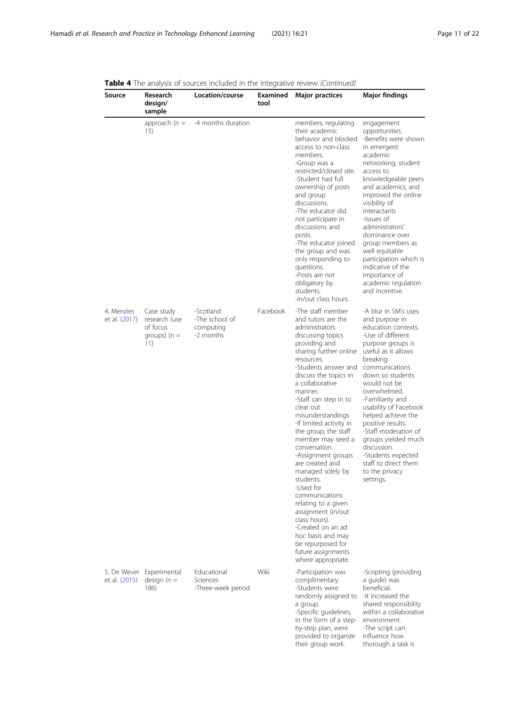| Source                       | Research<br>design/<br>sample                                    | Location/course                                       | Examined<br>tool | <b>Major practices</b>                                                                                                                                                                                                                                                                                                                                                                                                                                                                                                                                                                                                                                        | <b>Major findings</b>                                                                                                                                                                                                                                                                                                                                                                                                                               |
|------------------------------|------------------------------------------------------------------|-------------------------------------------------------|------------------|---------------------------------------------------------------------------------------------------------------------------------------------------------------------------------------------------------------------------------------------------------------------------------------------------------------------------------------------------------------------------------------------------------------------------------------------------------------------------------------------------------------------------------------------------------------------------------------------------------------------------------------------------------------|-----------------------------------------------------------------------------------------------------------------------------------------------------------------------------------------------------------------------------------------------------------------------------------------------------------------------------------------------------------------------------------------------------------------------------------------------------|
|                              | approach ( $n =$<br>15)                                          | -4 months duration                                    |                  | members, regulating<br>their academic<br>behavior and blocked<br>access to non-class<br>members.<br>-Group was a<br>restricted/closed site.<br>-Student had full<br>ownership of posts<br>and group<br>discussions.<br>-The educator did<br>not participate in<br>discussions and<br>posts.<br>-The educator joined<br>the group and was<br>only responding to<br>questions.<br>-Posts are not<br>obligatory by<br>students.<br>-In/out class hours                                                                                                                                                                                                           | engagement<br>opportunities.<br>-Benefits were shown<br>in emergent<br>academic<br>networking, student<br>access to<br>knowledgeable peers<br>and academics, and<br>improved the online<br>visibility of<br>interactants<br>-Issues of<br>administrators'<br>dominance over<br>group members as<br>well equitable<br>participation which is<br>indicative of the<br>importance of<br>academic regulation<br>and incentive.                          |
| 4. Menzies<br>et al. (2017)  | Case study<br>research (use<br>of focus<br>groups) $(n =$<br>11) | -Scotland<br>-The school of<br>computing<br>-2 months | Facebook         | -The staff member<br>and tutors are the<br>administrators<br>discussing topics<br>providing and<br>sharing further online<br>resources.<br>-Students answer and<br>discuss the topics in<br>a collaborative<br>manner.<br>-Staff can step in to<br>clear out<br>misunderstandings<br>-If limited activity in<br>the group, the staff<br>member may seed a<br>conversation.<br>-Assignment groups<br>are created and<br>managed solely by<br>students.<br>-Used for<br>communications<br>relating to a given<br>assignment (in/out<br>class hours).<br>-Created on an ad<br>hoc basis and may<br>be repurposed for<br>future assignments<br>where appropriate. | -A blur in SM's uses<br>and purpose in<br>education contexts.<br>-Use of different<br>purpose groups is<br>useful as it allows<br>breaking<br>communications<br>down so students<br>would not be<br>overwhelmed.<br>-Familiarity and<br>usability of Facebook<br>helped achieve the<br>positive results.<br>-Staff moderation of<br>groups yielded much<br>discussion.<br>-Students expected<br>staff to direct them<br>to the privacy<br>settings. |
| 5. De Wever<br>et al. (2015) | Experimental<br>design $(n =$<br>186)                            | Educational<br>Sciences<br>-Three-week period         | Wiki             | -Participation was<br>complimentary.<br>-Students were<br>randomly assigned to<br>a group.<br>-Specific guidelines,<br>in the form of a step-<br>by-step plan, were<br>provided to organize<br>their group work.                                                                                                                                                                                                                                                                                                                                                                                                                                              | -Scripting (providing<br>a quide) was<br>beneficial.<br>-It increased the<br>shared responsibility<br>within a collaborative<br>environment.<br>-The script can<br>influence how<br>thorough a task is                                                                                                                                                                                                                                              |

Table 4 The analysis of sources included in the integrative review (Continued)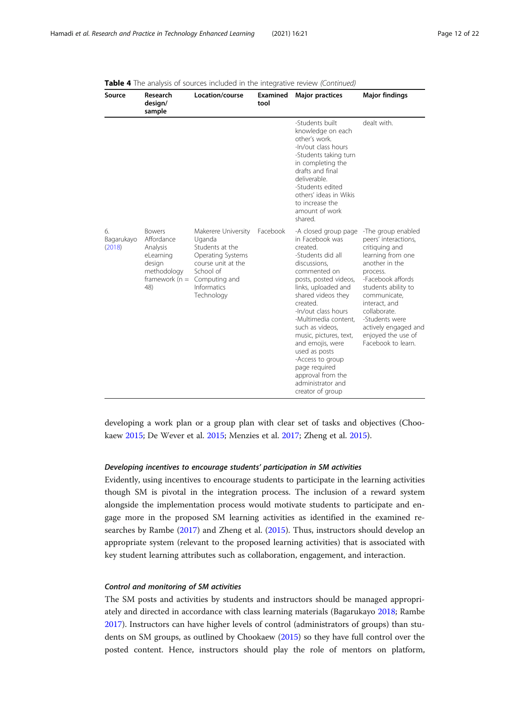| Source                     | Research<br>design/<br>sample                                                                             | Location/course                                                                                                                                               | Examined<br>tool | <b>Major practices</b>                                                                                                                                                                                                                                                                                                                                                                                                         | <b>Major findings</b>                                                                                                                                                                                                                                                                              |
|----------------------------|-----------------------------------------------------------------------------------------------------------|---------------------------------------------------------------------------------------------------------------------------------------------------------------|------------------|--------------------------------------------------------------------------------------------------------------------------------------------------------------------------------------------------------------------------------------------------------------------------------------------------------------------------------------------------------------------------------------------------------------------------------|----------------------------------------------------------------------------------------------------------------------------------------------------------------------------------------------------------------------------------------------------------------------------------------------------|
|                            |                                                                                                           |                                                                                                                                                               |                  | -Students built<br>knowledge on each<br>other's work.<br>-In/out class hours<br>-Students taking turn<br>in completing the<br>drafts and final<br>deliverable.<br>-Students edited<br>others' ideas in Wikis<br>to increase the<br>amount of work<br>shared.                                                                                                                                                                   | dealt with.                                                                                                                                                                                                                                                                                        |
| б.<br>Bagarukayo<br>(2018) | <b>Bowers</b><br>Affordance<br>Analysis<br>eLearning<br>design<br>methodology<br>framework ( $n =$<br>48) | Makerere University<br>Uganda<br>Students at the<br>Operating Systems<br>course unit at the<br>School of<br>Computing and<br><b>Informatics</b><br>Technology | Facebook         | -A closed group page<br>in Facebook was<br>created.<br>-Students did all<br>discussions,<br>commented on<br>posts, posted videos,<br>links, uploaded and<br>shared videos they<br>created.<br>-In/out class hours<br>-Multimedia content,<br>such as videos,<br>music, pictures, text,<br>and emojis, were<br>used as posts<br>-Access to group<br>page required<br>approval from the<br>administrator and<br>creator of group | -The group enabled<br>peers' interactions,<br>critiquing and<br>learning from one<br>another in the<br>process.<br>-Facebook affords<br>students ability to<br>communicate.<br>interact, and<br>collaborate.<br>-Students were<br>actively engaged and<br>enjoyed the use of<br>Facebook to learn. |

|  | <b>Table 4</b> The analysis of sources included in the integrative review (Continued) |
|--|---------------------------------------------------------------------------------------|
|--|---------------------------------------------------------------------------------------|

developing a work plan or a group plan with clear set of tasks and objectives (Chookaew [2015;](#page-19-0) De Wever et al. [2015](#page-19-0); Menzies et al. [2017;](#page-20-0) Zheng et al. [2015\)](#page-21-0).

#### Developing incentives to encourage students' participation in SM activities

Evidently, using incentives to encourage students to participate in the learning activities though SM is pivotal in the integration process. The inclusion of a reward system alongside the implementation process would motivate students to participate and engage more in the proposed SM learning activities as identified in the examined researches by Rambe ([2017\)](#page-20-0) and Zheng et al. [\(2015\)](#page-21-0). Thus, instructors should develop an appropriate system (relevant to the proposed learning activities) that is associated with key student learning attributes such as collaboration, engagement, and interaction.

#### Control and monitoring of SM activities

The SM posts and activities by students and instructors should be managed appropriately and directed in accordance with class learning materials (Bagarukayo [2018](#page-19-0); Rambe [2017](#page-20-0)). Instructors can have higher levels of control (administrators of groups) than students on SM groups, as outlined by Chookaew ([2015](#page-19-0)) so they have full control over the posted content. Hence, instructors should play the role of mentors on platform,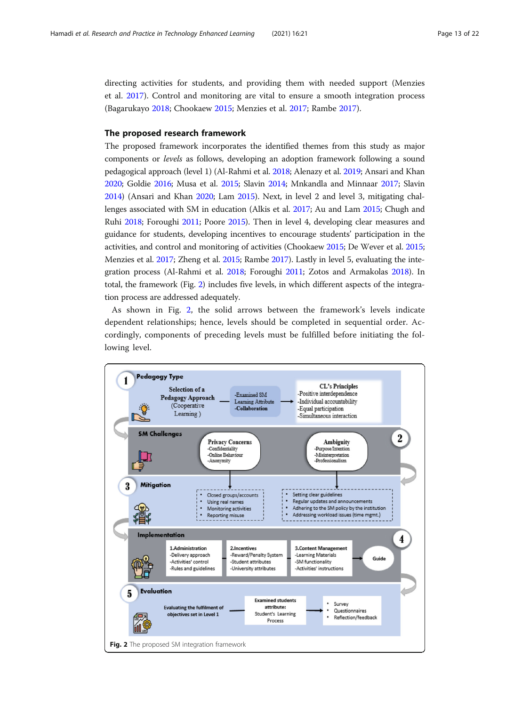<span id="page-12-0"></span>directing activities for students, and providing them with needed support (Menzies et al. [2017\)](#page-20-0). Control and monitoring are vital to ensure a smooth integration process (Bagarukayo [2018;](#page-19-0) Chookaew [2015;](#page-19-0) Menzies et al. [2017](#page-20-0); Rambe [2017\)](#page-20-0).

#### The proposed research framework

The proposed framework incorporates the identified themes from this study as major components or levels as follows, developing an adoption framework following a sound pedagogical approach (level 1) (Al-Rahmi et al. [2018;](#page-19-0) Alenazy et al. [2019](#page-19-0); Ansari and Khan [2020;](#page-19-0) Goldie [2016;](#page-20-0) Musa et al. [2015;](#page-20-0) Slavin [2014;](#page-21-0) Mnkandla and Minnaar [2017;](#page-20-0) Slavin [2014\)](#page-21-0) (Ansari and Khan [2020;](#page-19-0) Lam [2015](#page-20-0)). Next, in level 2 and level 3, mitigating challenges associated with SM in education (Alkis et al. [2017;](#page-19-0) Au and Lam [2015](#page-19-0); Chugh and Ruhi [2018](#page-19-0); Foroughi [2011;](#page-20-0) Poore [2015\)](#page-20-0). Then in level 4, developing clear measures and guidance for students, developing incentives to encourage students' participation in the activities, and control and monitoring of activities (Chookaew [2015](#page-19-0); De Wever et al. [2015](#page-19-0); Menzies et al. [2017](#page-20-0); Zheng et al. [2015;](#page-21-0) Rambe [2017](#page-20-0)). Lastly in level 5, evaluating the integration process (Al-Rahmi et al. [2018](#page-19-0); Foroughi [2011](#page-20-0); Zotos and Armakolas [2018\)](#page-21-0). In total, the framework (Fig. 2) includes five levels, in which different aspects of the integration process are addressed adequately.

As shown in Fig. 2, the solid arrows between the framework's levels indicate dependent relationships; hence, levels should be completed in sequential order. Accordingly, components of preceding levels must be fulfilled before initiating the following level.

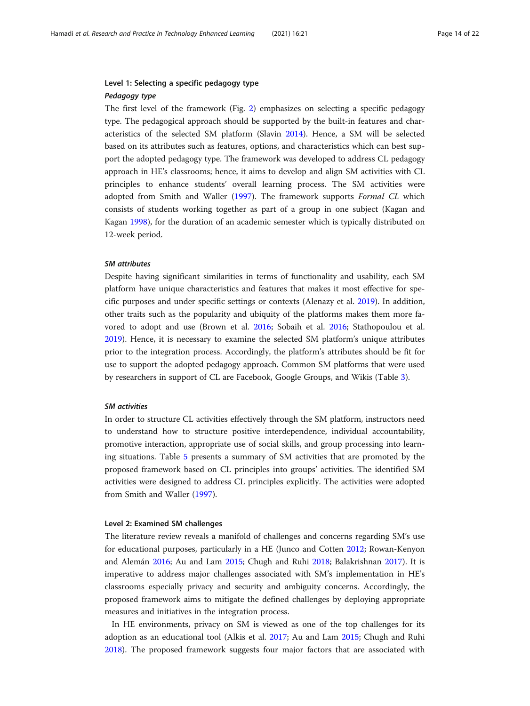#### Level 1: Selecting a specific pedagogy type Pedagogy type

The first level of the framework (Fig. [2\)](#page-12-0) emphasizes on selecting a specific pedagogy type. The pedagogical approach should be supported by the built-in features and characteristics of the selected SM platform (Slavin [2014\)](#page-21-0). Hence, a SM will be selected based on its attributes such as features, options, and characteristics which can best support the adopted pedagogy type. The framework was developed to address CL pedagogy approach in HE's classrooms; hence, it aims to develop and align SM activities with CL principles to enhance students' overall learning process. The SM activities were adopted from Smith and Waller [\(1997](#page-21-0)). The framework supports Formal CL which consists of students working together as part of a group in one subject (Kagan and Kagan [1998\)](#page-20-0), for the duration of an academic semester which is typically distributed on 12-week period.

#### SM attributes

Despite having significant similarities in terms of functionality and usability, each SM platform have unique characteristics and features that makes it most effective for specific purposes and under specific settings or contexts (Alenazy et al. [2019](#page-19-0)). In addition, other traits such as the popularity and ubiquity of the platforms makes them more favored to adopt and use (Brown et al. [2016;](#page-19-0) Sobaih et al. [2016;](#page-21-0) Stathopoulou et al. [2019](#page-21-0)). Hence, it is necessary to examine the selected SM platform's unique attributes prior to the integration process. Accordingly, the platform's attributes should be fit for use to support the adopted pedagogy approach. Common SM platforms that were used by researchers in support of CL are Facebook, Google Groups, and Wikis (Table [3\)](#page-8-0).

#### SM activities

In order to structure CL activities effectively through the SM platform, instructors need to understand how to structure positive interdependence, individual accountability, promotive interaction, appropriate use of social skills, and group processing into learning situations. Table [5](#page-14-0) presents a summary of SM activities that are promoted by the proposed framework based on CL principles into groups' activities. The identified SM activities were designed to address CL principles explicitly. The activities were adopted from Smith and Waller [\(1997\)](#page-21-0).

#### Level 2: Examined SM challenges

The literature review reveals a manifold of challenges and concerns regarding SM's use for educational purposes, particularly in a HE (Junco and Cotten [2012](#page-20-0); Rowan-Kenyon and Alemán [2016](#page-21-0); Au and Lam [2015;](#page-19-0) Chugh and Ruhi [2018;](#page-19-0) Balakrishnan [2017](#page-19-0)). It is imperative to address major challenges associated with SM's implementation in HE's classrooms especially privacy and security and ambiguity concerns. Accordingly, the proposed framework aims to mitigate the defined challenges by deploying appropriate measures and initiatives in the integration process.

In HE environments, privacy on SM is viewed as one of the top challenges for its adoption as an educational tool (Alkis et al. [2017;](#page-19-0) Au and Lam [2015;](#page-19-0) Chugh and Ruhi [2018](#page-19-0)). The proposed framework suggests four major factors that are associated with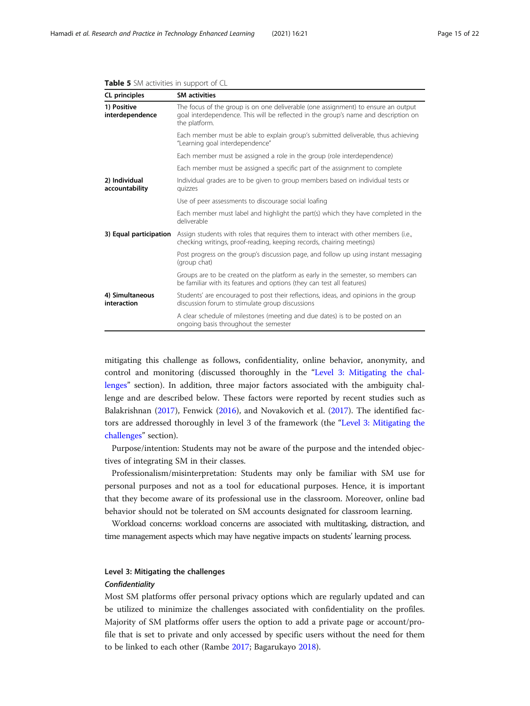| CL principles                   | <b>SM activities</b>                                                                                                                                                                      |  |  |  |  |
|---------------------------------|-------------------------------------------------------------------------------------------------------------------------------------------------------------------------------------------|--|--|--|--|
| 1) Positive<br>interdependence  | The focus of the group is on one deliverable (one assignment) to ensure an output<br>goal interdependence. This will be reflected in the group's name and description on<br>the platform. |  |  |  |  |
|                                 | Each member must be able to explain group's submitted deliverable, thus achieving<br>"Learning goal interdependence"                                                                      |  |  |  |  |
|                                 | Each member must be assigned a role in the group (role interdependence)                                                                                                                   |  |  |  |  |
|                                 | Each member must be assigned a specific part of the assignment to complete                                                                                                                |  |  |  |  |
| 2) Individual<br>accountability | Individual grades are to be given to group members based on individual tests or<br>quizzes                                                                                                |  |  |  |  |
|                                 | Use of peer assessments to discourage social loafing                                                                                                                                      |  |  |  |  |
|                                 | Each member must label and highlight the part(s) which they have completed in the<br>deliverable                                                                                          |  |  |  |  |
| 3) Equal participation          | Assign students with roles that requires them to interact with other members (i.e.,<br>checking writings, proof-reading, keeping records, chairing meetings)                              |  |  |  |  |
|                                 | Post progress on the group's discussion page, and follow up using instant messaging<br>(group chat)                                                                                       |  |  |  |  |
|                                 | Groups are to be created on the platform as early in the semester, so members can<br>be familiar with its features and options (they can test all features)                               |  |  |  |  |
| 4) Simultaneous<br>interaction  | Students' are encouraged to post their reflections, ideas, and opinions in the group<br>discussion forum to stimulate group discussions                                                   |  |  |  |  |
|                                 | A clear schedule of milestones (meeting and due dates) is to be posted on an<br>ongoing basis throughout the semester                                                                     |  |  |  |  |

#### <span id="page-14-0"></span>Table 5 SM activities in support of CL

mitigating this challenge as follows, confidentiality, online behavior, anonymity, and control and monitoring (discussed thoroughly in the "Level 3: Mitigating the challenges" section). In addition, three major factors associated with the ambiguity challenge and are described below. These factors were reported by recent studies such as Balakrishnan [\(2017\)](#page-19-0), Fenwick ([2016\)](#page-20-0), and Novakovich et al. [\(2017\)](#page-20-0). The identified factors are addressed thoroughly in level 3 of the framework (the "Level 3: Mitigating the challenges" section).

Purpose/intention: Students may not be aware of the purpose and the intended objectives of integrating SM in their classes.

Professionalism/misinterpretation: Students may only be familiar with SM use for personal purposes and not as a tool for educational purposes. Hence, it is important that they become aware of its professional use in the classroom. Moreover, online bad behavior should not be tolerated on SM accounts designated for classroom learning.

Workload concerns: workload concerns are associated with multitasking, distraction, and time management aspects which may have negative impacts on students' learning process.

# Level 3: Mitigating the challenges

#### Confidentiality

Most SM platforms offer personal privacy options which are regularly updated and can be utilized to minimize the challenges associated with confidentiality on the profiles. Majority of SM platforms offer users the option to add a private page or account/profile that is set to private and only accessed by specific users without the need for them to be linked to each other (Rambe [2017](#page-20-0); Bagarukayo [2018](#page-19-0)).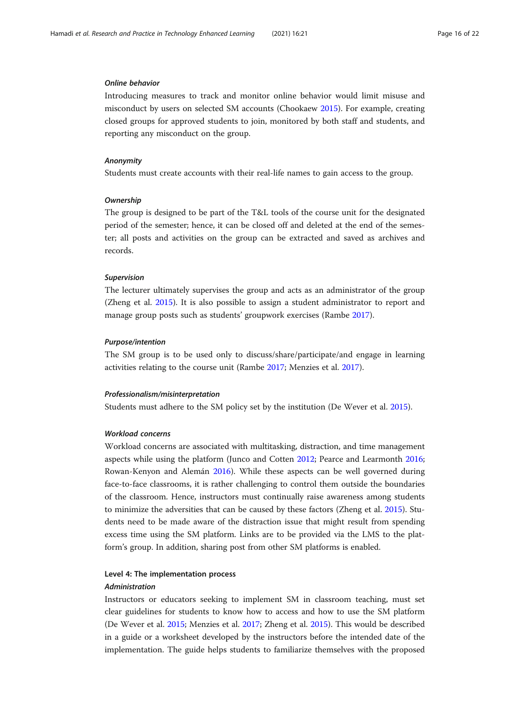#### Online behavior

Introducing measures to track and monitor online behavior would limit misuse and misconduct by users on selected SM accounts (Chookaew [2015\)](#page-19-0). For example, creating closed groups for approved students to join, monitored by both staff and students, and reporting any misconduct on the group.

#### Anonymity

Students must create accounts with their real-life names to gain access to the group.

#### **Ownership**

The group is designed to be part of the T&L tools of the course unit for the designated period of the semester; hence, it can be closed off and deleted at the end of the semester; all posts and activities on the group can be extracted and saved as archives and records.

#### Supervision

The lecturer ultimately supervises the group and acts as an administrator of the group (Zheng et al. [2015](#page-21-0)). It is also possible to assign a student administrator to report and manage group posts such as students' groupwork exercises (Rambe [2017\)](#page-20-0).

#### Purpose/intention

The SM group is to be used only to discuss/share/participate/and engage in learning activities relating to the course unit (Rambe [2017;](#page-20-0) Menzies et al. [2017\)](#page-20-0).

#### Professionalism/misinterpretation

Students must adhere to the SM policy set by the institution (De Wever et al. [2015](#page-19-0)).

#### Workload concerns

Workload concerns are associated with multitasking, distraction, and time management aspects while using the platform (Junco and Cotten [2012;](#page-20-0) Pearce and Learmonth [2016](#page-20-0); Rowan-Kenyon and Alemán [2016](#page-21-0)). While these aspects can be well governed during face-to-face classrooms, it is rather challenging to control them outside the boundaries of the classroom. Hence, instructors must continually raise awareness among students to minimize the adversities that can be caused by these factors (Zheng et al. [2015](#page-21-0)). Students need to be made aware of the distraction issue that might result from spending excess time using the SM platform. Links are to be provided via the LMS to the platform's group. In addition, sharing post from other SM platforms is enabled.

#### Level 4: The implementation process

#### Administration

Instructors or educators seeking to implement SM in classroom teaching, must set clear guidelines for students to know how to access and how to use the SM platform (De Wever et al. [2015;](#page-19-0) Menzies et al. [2017](#page-20-0); Zheng et al. [2015\)](#page-21-0). This would be described in a guide or a worksheet developed by the instructors before the intended date of the implementation. The guide helps students to familiarize themselves with the proposed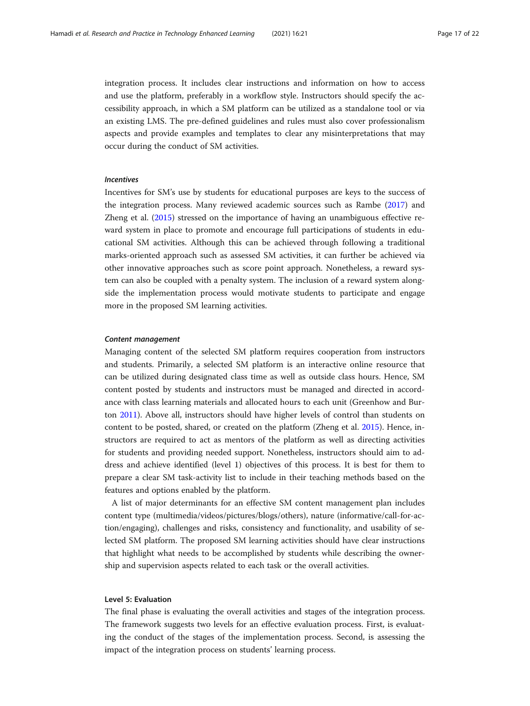integration process. It includes clear instructions and information on how to access and use the platform, preferably in a workflow style. Instructors should specify the accessibility approach, in which a SM platform can be utilized as a standalone tool or via an existing LMS. The pre-defined guidelines and rules must also cover professionalism aspects and provide examples and templates to clear any misinterpretations that may occur during the conduct of SM activities.

#### Incentives

Incentives for SM's use by students for educational purposes are keys to the success of the integration process. Many reviewed academic sources such as Rambe ([2017](#page-20-0)) and Zheng et al. ([2015](#page-21-0)) stressed on the importance of having an unambiguous effective reward system in place to promote and encourage full participations of students in educational SM activities. Although this can be achieved through following a traditional marks-oriented approach such as assessed SM activities, it can further be achieved via other innovative approaches such as score point approach. Nonetheless, a reward system can also be coupled with a penalty system. The inclusion of a reward system alongside the implementation process would motivate students to participate and engage more in the proposed SM learning activities.

#### Content management

Managing content of the selected SM platform requires cooperation from instructors and students. Primarily, a selected SM platform is an interactive online resource that can be utilized during designated class time as well as outside class hours. Hence, SM content posted by students and instructors must be managed and directed in accordance with class learning materials and allocated hours to each unit (Greenhow and Burton [2011](#page-20-0)). Above all, instructors should have higher levels of control than students on content to be posted, shared, or created on the platform (Zheng et al. [2015](#page-21-0)). Hence, instructors are required to act as mentors of the platform as well as directing activities for students and providing needed support. Nonetheless, instructors should aim to address and achieve identified (level 1) objectives of this process. It is best for them to prepare a clear SM task-activity list to include in their teaching methods based on the features and options enabled by the platform.

A list of major determinants for an effective SM content management plan includes content type (multimedia/videos/pictures/blogs/others), nature (informative/call-for-action/engaging), challenges and risks, consistency and functionality, and usability of selected SM platform. The proposed SM learning activities should have clear instructions that highlight what needs to be accomplished by students while describing the ownership and supervision aspects related to each task or the overall activities.

#### Level 5: Evaluation

The final phase is evaluating the overall activities and stages of the integration process. The framework suggests two levels for an effective evaluation process. First, is evaluating the conduct of the stages of the implementation process. Second, is assessing the impact of the integration process on students' learning process.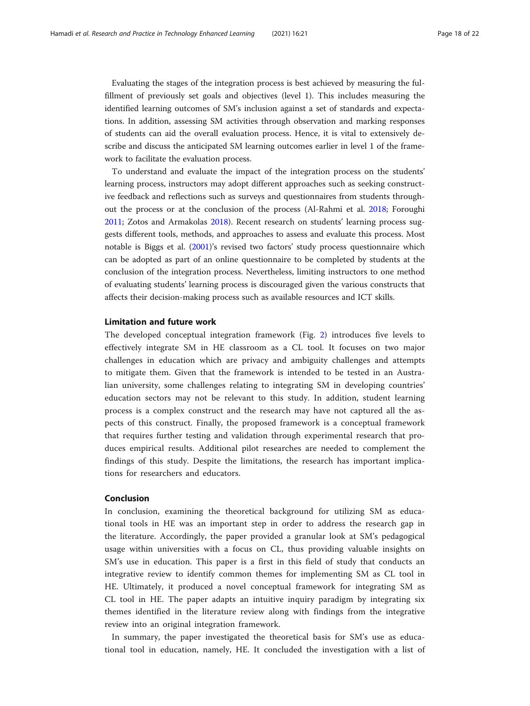Evaluating the stages of the integration process is best achieved by measuring the fulfillment of previously set goals and objectives (level 1). This includes measuring the identified learning outcomes of SM's inclusion against a set of standards and expectations. In addition, assessing SM activities through observation and marking responses of students can aid the overall evaluation process. Hence, it is vital to extensively describe and discuss the anticipated SM learning outcomes earlier in level 1 of the framework to facilitate the evaluation process.

To understand and evaluate the impact of the integration process on the students' learning process, instructors may adopt different approaches such as seeking constructive feedback and reflections such as surveys and questionnaires from students throughout the process or at the conclusion of the process (Al-Rahmi et al. [2018](#page-19-0); Foroughi [2011](#page-20-0); Zotos and Armakolas [2018](#page-21-0)). Recent research on students' learning process suggests different tools, methods, and approaches to assess and evaluate this process. Most notable is Biggs et al. ([2001](#page-19-0))'s revised two factors' study process questionnaire which can be adopted as part of an online questionnaire to be completed by students at the conclusion of the integration process. Nevertheless, limiting instructors to one method of evaluating students' learning process is discouraged given the various constructs that affects their decision-making process such as available resources and ICT skills.

#### Limitation and future work

The developed conceptual integration framework (Fig. [2\)](#page-12-0) introduces five levels to effectively integrate SM in HE classroom as a CL tool. It focuses on two major challenges in education which are privacy and ambiguity challenges and attempts to mitigate them. Given that the framework is intended to be tested in an Australian university, some challenges relating to integrating SM in developing countries' education sectors may not be relevant to this study. In addition, student learning process is a complex construct and the research may have not captured all the aspects of this construct. Finally, the proposed framework is a conceptual framework that requires further testing and validation through experimental research that produces empirical results. Additional pilot researches are needed to complement the findings of this study. Despite the limitations, the research has important implications for researchers and educators.

#### Conclusion

In conclusion, examining the theoretical background for utilizing SM as educational tools in HE was an important step in order to address the research gap in the literature. Accordingly, the paper provided a granular look at SM's pedagogical usage within universities with a focus on CL, thus providing valuable insights on SM's use in education. This paper is a first in this field of study that conducts an integrative review to identify common themes for implementing SM as CL tool in HE. Ultimately, it produced a novel conceptual framework for integrating SM as CL tool in HE. The paper adapts an intuitive inquiry paradigm by integrating six themes identified in the literature review along with findings from the integrative review into an original integration framework.

In summary, the paper investigated the theoretical basis for SM's use as educational tool in education, namely, HE. It concluded the investigation with a list of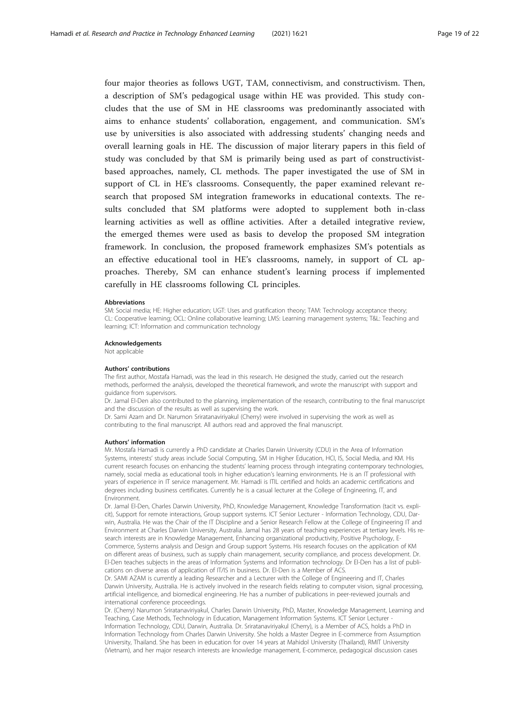four major theories as follows UGT, TAM, connectivism, and constructivism. Then, a description of SM's pedagogical usage within HE was provided. This study concludes that the use of SM in HE classrooms was predominantly associated with aims to enhance students' collaboration, engagement, and communication. SM's use by universities is also associated with addressing students' changing needs and overall learning goals in HE. The discussion of major literary papers in this field of study was concluded by that SM is primarily being used as part of constructivistbased approaches, namely, CL methods. The paper investigated the use of SM in support of CL in HE's classrooms. Consequently, the paper examined relevant research that proposed SM integration frameworks in educational contexts. The results concluded that SM platforms were adopted to supplement both in-class learning activities as well as offline activities. After a detailed integrative review, the emerged themes were used as basis to develop the proposed SM integration framework. In conclusion, the proposed framework emphasizes SM's potentials as an effective educational tool in HE's classrooms, namely, in support of CL approaches. Thereby, SM can enhance student's learning process if implemented carefully in HE classrooms following CL principles.

#### Abbreviations

SM: Social media; HE: Higher education; UGT: Uses and gratification theory; TAM: Technology acceptance theory; CL: Cooperative learning; OCL: Online collaborative learning; LMS: Learning management systems; T&L: Teaching and learning; ICT: Information and communication technology

#### Acknowledgements

Not applicable

#### Authors' contributions

The first author, Mostafa Hamadi, was the lead in this research. He designed the study, carried out the research methods, performed the analysis, developed the theoretical framework, and wrote the manuscript with support and guidance from supervisors.

Dr. Jamal El-Den also contributed to the planning, implementation of the research, contributing to the final manuscript and the discussion of the results as well as supervising the work.

Dr. Sami Azam and Dr. Narumon Sriratanaviriyakul (Cherry) were involved in supervising the work as well as contributing to the final manuscript. All authors read and approved the final manuscript.

#### Authors' information

Mr. Mostafa Hamadi is currently a PhD candidate at Charles Darwin University (CDU) in the Area of Information Systems, interests' study areas include Social Computing, SM in Higher Education, HCI, IS, Social Media, and KM. His current research focuses on enhancing the students' learning process through integrating contemporary technologies, namely, social media as educational tools in higher education's learning environments. He is an IT professional with years of experience in IT service management. Mr. Hamadi is ITIL certified and holds an academic certifications and degrees including business certificates. Currently he is a casual lecturer at the College of Engineering, IT, and Environment.

Dr. Jamal El-Den, Charles Darwin University, PhD, Knowledge Management, Knowledge Transformation (tacit vs. explicit), Support for remote interactions, Group support systems. ICT Senior Lecturer - Information Technology, CDU, Darwin, Australia. He was the Chair of the IT Discipline and a Senior Research Fellow at the College of Engineering IT and Environment at Charles Darwin University, Australia. Jamal has 28 years of teaching experiences at tertiary levels. His research interests are in Knowledge Management, Enhancing organizational productivity, Positive Psychology, E-Commerce, Systems analysis and Design and Group support Systems. His research focuses on the application of KM on different areas of business, such as supply chain management, security compliance, and process development. Dr. El-Den teaches subjects in the areas of Information Systems and Information technology. Dr El-Den has a list of publications on diverse areas of application of IT/IS in business. Dr. El-Den is a Member of ACS.

Dr. SAMI AZAM is currently a leading Researcher and a Lecturer with the College of Engineering and IT, Charles Darwin University, Australia. He is actively involved in the research fields relating to computer vision, signal processing, artificial intelligence, and biomedical engineering. He has a number of publications in peer-reviewed journals and international conference proceedings.

Dr. (Cherry) Narumon Sriratanaviriyakul, Charles Darwin University, PhD, Master, Knowledge Management, Learning and Teaching, Case Methods, Technology in Education, Management Information Systems. ICT Senior Lecturer - Information Technology, CDU, Darwin, Australia. Dr. Sriratanaviriyakul (Cherry), is a Member of ACS, holds a PhD in Information Technology from Charles Darwin University. She holds a Master Degree in E-commerce from Assumption University, Thailand. She has been in education for over 14 years at Mahidol University (Thailand), RMIT University (Vietnam), and her major research interests are knowledge management, E-commerce, pedagogical discussion cases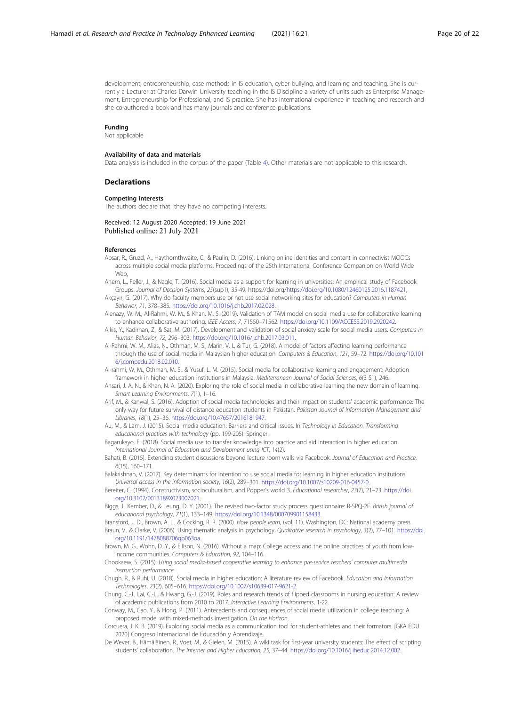<span id="page-19-0"></span>development, entrepreneurship, case methods in IS education, cyber bullying, and learning and teaching. She is currently a Lecturer at Charles Darwin University teaching in the IS Discipline a variety of units such as Enterprise Management, Entrepreneurship for Professional, and IS practice. She has international experience in teaching and research and she co-authored a book and has many journals and conference publications.

#### Funding

Not applicable

#### Availability of data and materials

Data analysis is included in the corpus of the paper (Table [4](#page-9-0)). Other materials are not applicable to this research.

#### **Declarations**

#### Competing interests

The authors declare that they have no competing interests.

#### Received: 12 August 2020 Accepted: 19 June 2021 Published online: 21 July 2021

#### References

- Absar, R., Gruzd, A., Haythornthwaite, C., & Paulin, D. (2016). Linking online identities and content in connectivist MOOCs across multiple social media platforms. Proceedings of the 25th International Conference Companion on World Wide Web,
- Ahern, L., Feller, J., & Nagle, T. (2016). Social media as a support for learning in universities: An empirical study of Facebook Groups. Journal of Decision Systems, 25(sup1), 35-49. https://doi.org[/https://doi.org/10.1080/12460125.2016.1187421,](https://doi.org/10.1080/12460125.2016.1187421)
- Akçayır, G. (2017). Why do faculty members use or not use social networking sites for education? Computers in Human Behavior, 71, 378–385. [https://doi.org/10.1016/j.chb.2017.02.028.](https://doi.org/10.1016/j.chb.2017.02.028)
- Alenazy, W. M., Al-Rahmi, W. M., & Khan, M. S. (2019). Validation of TAM model on social media use for collaborative learning to enhance collaborative authoring. IEEE Access, 7, 71550–71562. <https://doi.org/10.1109/ACCESS.2019.2920242>.
- Alkis, Y., Kadirhan, Z., & Sat, M. (2017). Development and validation of social anxiety scale for social media users. Computers in Human Behavior, 72, 296–303. <https://doi.org/10.1016/j.chb.2017.03.011>.
- Al-Rahmi, W. M., Alias, N., Othman, M. S., Marin, V. I., & Tur, G. (2018). A model of factors affecting learning performance through the use of social media in Malaysian higher education. Computers & Education, 121, 59–72. [https://doi.org/10.101](https://doi.org/10.1016/j.compedu.2018.02.010) [6/j.compedu.2018.02.010.](https://doi.org/10.1016/j.compedu.2018.02.010)
- Al-rahmi, W. M., Othman, M. S., & Yusuf, L. M. (2015). Social media for collaborative learning and engagement: Adoption framework in higher education institutions in Malaysia. Mediterranean Journal of Social Sciences, 6(3 S1), 246.
- Ansari, J. A. N., & Khan, N. A. (2020). Exploring the role of social media in collaborative learning the new domain of learning. Smart Learning Environments, 7(1), 1–16.
- Arif, M., & Kanwal, S. (2016). Adoption of social media technologies and their impact on students' academic performance: The only way for future survival of distance education students in Pakistan. Pakistan Journal of Information Management and Libraries, 18(1), 25–36. <https://doi.org/10.47657/2016181947>.
- Au, M., & Lam, J. (2015). Social media education: Barriers and critical issues. In Technology in Education. Transforming educational practices with technology (pp. 199-205). Springer.

Bagarukayo, E. (2018). Social media use to transfer knowledge into practice and aid interaction in higher education. International Journal of Education and Development using ICT, 14(2).

- Bahati, B. (2015). Extending student discussions beyond lecture room walls via Facebook. Journal of Education and Practice, 6(15), 160–171.
- Balakrishnan, V. (2017). Key determinants for intention to use social media for learning in higher education institutions. Universal access in the information society, 16(2), 289–301. <https://doi.org/10.1007/s10209-016-0457-0>.
- Bereiter, C. (1994). Constructivism, socioculturalism, and Popper's world 3. Educational researcher, 23(7), 21–23. [https://doi.](https://doi.org/10.3102/0013189X023007021) [org/10.3102/0013189X023007021](https://doi.org/10.3102/0013189X023007021).
- Biggs, J., Kember, D., & Leung, D. Y. (2001). The revised two-factor study process questionnaire: R-SPQ-2F. British journal of educational psychology, 71(1), 133–149. <https://doi.org/10.1348/000709901158433>.
- Bransford, J. D., Brown, A. L., & Cocking, R. R. (2000). How people learn, (vol. 11). Washington, DC: National academy press. Braun, V., & Clarke, V. (2006). Using thematic analysis in psychology. Qualitative research in psychology, 3(2), 77–101. [https://doi.](https://doi.org/10.1191/1478088706qp063oa) [org/10.1191/1478088706qp063oa.](https://doi.org/10.1191/1478088706qp063oa)
- Brown, M. G., Wohn, D. Y., & Ellison, N. (2016). Without a map: College access and the online practices of youth from lowincome communities. Computers & Education, 92, 104–116.
- Chookaew, S. (2015). Using social media-based cooperative learning to enhance pre-service teachers' computer multimedia instruction performance.
- Chugh, R., & Ruhi, U. (2018). Social media in higher education: A literature review of Facebook. Education and Information Technologies, 23(2), 605–616. [https://doi.org/10.1007/s10639-017-9621-2.](https://doi.org/10.1007/s10639-017-9621-2)
- Chung, C.-J., Lai, C.-L., & Hwang, G.-J. (2019). Roles and research trends of flipped classrooms in nursing education: A review of academic publications from 2010 to 2017. Interactive Learning Environments, 1-22.
- Conway, M., Cao, Y., & Hong, P. (2011). Antecedents and consequences of social media utilization in college teaching: A proposed model with mixed-methods investigation. On the Horizon.
- Corcuera, J. K. B. (2019). Exploring social media as a communication tool for student-athletes and their formators. [GKA EDU 2020] Congreso Internacional de Educación y Aprendizaje,
- De Wever, B., Hämäläinen, R., Voet, M., & Gielen, M. (2015). A wiki task for first-year university students: The effect of scripting students' collaboration. The Internet and Higher Education, 25, 37–44. [https://doi.org/10.1016/j.iheduc.2014.12.002.](https://doi.org/10.1016/j.iheduc.2014.12.002)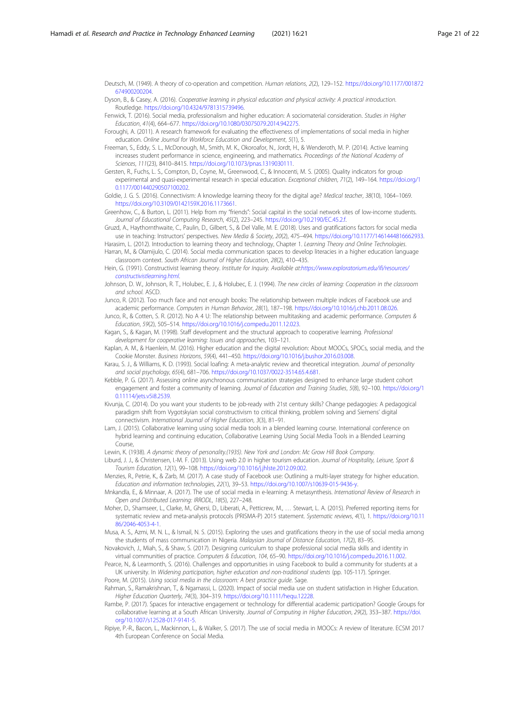<span id="page-20-0"></span>Deutsch, M. (1949). A theory of co-operation and competition. Human relations, 2(2), 129–152. [https://doi.org/10.1177/001872](https://doi.org/10.1177/001872674900200204) [674900200204.](https://doi.org/10.1177/001872674900200204)

Dyson, B., & Casey, A. (2016). Cooperative learning in physical education and physical activity: A practical introduction. Routledge. [https://doi.org/10.4324/9781315739496.](https://doi.org/10.4324/9781315739496)

Fenwick, T. (2016). Social media, professionalism and higher education: A sociomaterial consideration. Studies in Higher Education, 41(4), 664–677. [https://doi.org/10.1080/03075079.2014.942275.](https://doi.org/10.1080/03075079.2014.942275)

- Foroughi, A. (2011). A research framework for evaluating the effectiveness of implementations of social media in higher education. Online Journal for Workforce Education and Development, 5(1), 5.
- Freeman, S., Eddy, S. L., McDonough, M., Smith, M. K., Okoroafor, N., Jordt, H., & Wenderoth, M. P. (2014). Active learning increases student performance in science, engineering, and mathematics. Proceedings of the National Academy of Sciences, 111(23), 8410–8415. <https://doi.org/10.1073/pnas.1319030111>.
- Gersten, R., Fuchs, L. S., Compton, D., Coyne, M., Greenwood, C., & Innocenti, M. S. (2005). Quality indicators for group experimental and quasi-experimental research in special education. Exceptional children, 71(2), 149–164. [https://doi.org/1](https://doi.org/10.1177/001440290507100202) [0.1177/001440290507100202.](https://doi.org/10.1177/001440290507100202)

Goldie, J. G. S. (2016). Connectivism: A knowledge learning theory for the digital age? Medical teacher, 38(10), 1064–1069. [https://doi.org/10.3109/0142159X.2016.1173661.](https://doi.org/10.3109/0142159X.2016.1173661)

Greenhow, C., & Burton, L. (2011). Help from my "friends": Social capital in the social network sites of low-income students. Journal of Educational Computing Research, 45(2), 223–245. <https://doi.org/10.2190/EC.45.2.f>.

Gruzd, A., Haythornthwaite, C., Paulin, D., Gilbert, S., & Del Valle, M. E. (2018). Uses and gratifications factors for social media use in teaching: Instructors' perspectives. New Media & Society, 20(2), 475-494. [https://doi.org/10.1177/1461444816662933.](https://doi.org/10.1177/1461444816662933)

Harasim, L. (2012). Introduction to learning theory and technology, Chapter 1. Learning Theory and Online Technologies. Harran, M., & Olamijulo, C. (2014). Social media communication spaces to develop literacies in a higher education language classroom context. South African Journal of Higher Education, 28(2), 410–435.

- Hein, G. (1991). Constructivist learning theory. Institute for Inquiry. Available at:[https://www.exploratorium.edu/ifi/resources/](https://www.exploratorium.edu/ifi/resources/constructivistlearning.html) [constructivistlearning.html](https://www.exploratorium.edu/ifi/resources/constructivistlearning.html).
- Johnson, D. W., Johnson, R. T., Holubec, E. J., & Holubec, E. J. (1994). The new circles of learning: Cooperation in the classroom and school. ASCD.

Junco, R. (2012). Too much face and not enough books: The relationship between multiple indices of Facebook use and academic performance. Computers in Human Behavior, 28(1), 187–198. <https://doi.org/10.1016/j.chb.2011.08.026>.

Junco, R., & Cotten, S. R. (2012). No A 4 U: The relationship between multitasking and academic performance. Computers & Education, 59(2), 505–514. <https://doi.org/10.1016/j.compedu.2011.12.023>.

Kagan, S., & Kagan, M. (1998). Staff development and the structural approach to cooperative learning. Professional development for cooperative learning: Issues and approaches, 103–121.

Kaplan, A. M., & Haenlein, M. (2016). Higher education and the digital revolution: About MOOCs, SPOCs, social media, and the Cookie Monster. Business Horizons, 59(4), 441–450. [https://doi.org/10.1016/j.bushor.2016.03.008.](https://doi.org/10.1016/j.bushor.2016.03.008)

Karau, S. J., & Williams, K. D. (1993). Social loafing: A meta-analytic review and theoretical integration. Journal of personality and social psychology, 65(4), 681–706. [https://doi.org/10.1037/0022-3514.65.4.681.](https://doi.org/10.1037/0022-3514.65.4.681)

- Kebble, P. G. (2017). Assessing online asynchronous communication strategies designed to enhance large student cohort engagement and foster a community of learning. Journal of Education and Training Studies, 5(8), 92–100. [https://doi.org/1](https://doi.org/10.11114/jets.v5i8.2539) [0.11114/jets.v5i8.2539.](https://doi.org/10.11114/jets.v5i8.2539)
- Kivunja, C. (2014). Do you want your students to be job-ready with 21st century skills? Change pedagogies: A pedagogical paradigm shift from Vygotskyian social constructivism to critical thinking, problem solving and Siemens' digital connectivism. International Journal of Higher Education, 3(3), 81–91.
- Lam, J. (2015). Collaborative learning using social media tools in a blended learning course. International conference on hybrid learning and continuing education, Collaborative Learning Using Social Media Tools in a Blended Learning Course,

Lewin, K. (1938). A dynamic theory of personality.(1935). New York and London: Mc Grow Hill Book Company.

Liburd, J. J., & Christensen, I.-M. F. (2013). Using web 2.0 in higher tourism education. Journal of Hospitality, Leisure, Sport & Tourism Education, 12(1), 99–108. <https://doi.org/10.1016/j.jhlste.2012.09.002>.

Menzies, R., Petrie, K., & Zarb, M. (2017). A case study of Facebook use: Outlining a multi-layer strategy for higher education. Education and information technologies, 22(1), 39–53. [https://doi.org/10.1007/s10639-015-9436-y.](https://doi.org/10.1007/s10639-015-9436-y)

Mnkandla, E., & Minnaar, A. (2017). The use of social media in e-learning: A metasynthesis. International Review of Research in Open and Distributed Learning: IRRODL, 18(5), 227–248.

- Moher, D., Shamseer, L., Clarke, M., Ghersi, D., Liberati, A., Petticrew, M., … Stewart, L. A. (2015). Preferred reporting items for systematic review and meta-analysis protocols (PRISMA-P) 2015 statement. Systematic reviews, 4(1), 1. [https://doi.org/10.11](https://doi.org/10.1186/2046-4053-4-1) [86/2046-4053-4-1](https://doi.org/10.1186/2046-4053-4-1).
- Musa, A. S., Azmi, M. N. L., & Ismail, N. S. (2015). Exploring the uses and gratifications theory in the use of social media among the students of mass communication in Nigeria. Malaysian Journal of Distance Education, 17(2), 83–95.
- Novakovich, J., Miah, S., & Shaw, S. (2017). Designing curriculum to shape professional social media skills and identity in virtual communities of practice. Computers & Education, 104, 65–90. [https://doi.org/10.1016/j.compedu.2016.11.002.](https://doi.org/10.1016/j.compedu.2016.11.002)

Pearce, N., & Learmonth, S. (2016). Challenges and opportunities in using Facebook to build a community for students at a UK university. In Widening participation, higher education and non-traditional students (pp. 105-117). Springer. Poore, M. (2015). Using social media in the classroom: A best practice guide. Sage.

Rahman, S., Ramakrishnan, T., & Ngamassi, L. (2020). Impact of social media use on student satisfaction in Higher Education. Higher Education Quarterly, 74(3), 304–319. [https://doi.org/10.1111/hequ.12228.](https://doi.org/10.1111/hequ.12228)

- Rambe, P. (2017). Spaces for interactive engagement or technology for differential academic participation? Google Groups for collaborative learning at a South African University. Journal of Computing in Higher Education, 29(2), 353–387. [https://doi.](https://doi.org/10.1007/s12528-017-9141-5) [org/10.1007/s12528-017-9141-5](https://doi.org/10.1007/s12528-017-9141-5).
- Ripiye, P.-R., Bacon, L., Mackinnon, L., & Walker, S. (2017). The use of social media in MOOCs: A review of literature. ECSM 2017 4th European Conference on Social Media.